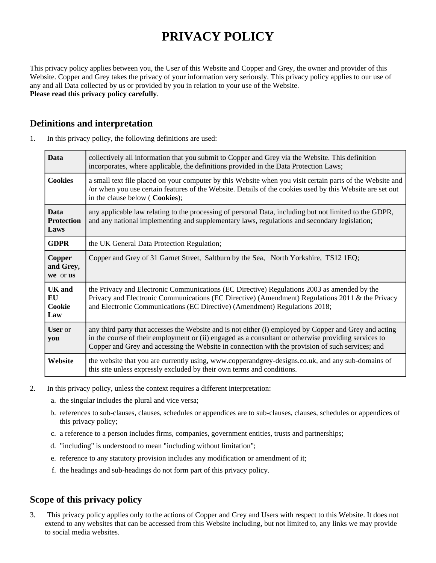# **PRIVACY POLICY**

This privacy policy applies between you, the User of this Website and Copper and Grey, the owner and provider of this Website. Copper and Grey takes the privacy of your information very seriously. This privacy policy applies to our use of any and all Data collected by us or provided by you in relation to your use of the Website. **Please read this privacy policy carefully**.

## **Definitions and interpretation**

| <b>Data</b>                              | collectively all information that you submit to Copper and Grey via the Website. This definition<br>incorporates, where applicable, the definitions provided in the Data Protection Laws;                                                                                                                          |
|------------------------------------------|--------------------------------------------------------------------------------------------------------------------------------------------------------------------------------------------------------------------------------------------------------------------------------------------------------------------|
| <b>Cookies</b>                           | a small text file placed on your computer by this Website when you visit certain parts of the Website and<br>/or when you use certain features of the Website. Details of the cookies used by this Website are set out<br>in the clause below (Cookies);                                                           |
| <b>Data</b><br><b>Protection</b><br>Laws | any applicable law relating to the processing of personal Data, including but not limited to the GDPR,<br>and any national implementing and supplementary laws, regulations and secondary legislation;                                                                                                             |
| <b>GDPR</b>                              | the UK General Data Protection Regulation;                                                                                                                                                                                                                                                                         |
| Copper<br>and Grey,<br>we or us          | Copper and Grey of 31 Garnet Street, Saltburn by the Sea, North Yorkshire, TS12 1EQ;                                                                                                                                                                                                                               |
| <b>UK</b> and<br>EU<br>Cookie<br>Law     | the Privacy and Electronic Communications (EC Directive) Regulations 2003 as amended by the<br>Privacy and Electronic Communications (EC Directive) (Amendment) Regulations 2011 & the Privacy<br>and Electronic Communications (EC Directive) (Amendment) Regulations 2018;                                       |
| <b>User</b> or<br>you                    | any third party that accesses the Website and is not either (i) employed by Copper and Grey and acting<br>in the course of their employment or (ii) engaged as a consultant or otherwise providing services to<br>Copper and Grey and accessing the Website in connection with the provision of such services; and |
| Website                                  | the website that you are currently using, www.copperandgrey-designs.co.uk, and any sub-domains of<br>this site unless expressly excluded by their own terms and conditions.                                                                                                                                        |

1. In this privacy policy, the following definitions are used:

- 2. In this privacy policy, unless the context requires a different interpretation:
	- a. the singular includes the plural and vice versa;
	- b. references to sub-clauses, clauses, schedules or appendices are to sub-clauses, clauses, schedules or appendices of this privacy policy;
	- c. a reference to a person includes firms, companies, government entities, trusts and partnerships;
	- d. "including" is understood to mean "including without limitation";
	- e. reference to any statutory provision includes any modification or amendment of it;
	- f. the headings and sub-headings do not form part of this privacy policy.

## **Scope of this privacy policy**

3. This privacy policy applies only to the actions of Copper and Grey and Users with respect to this Website. It does not extend to any websites that can be accessed from this Website including, but not limited to, any links we may provide to social media websites.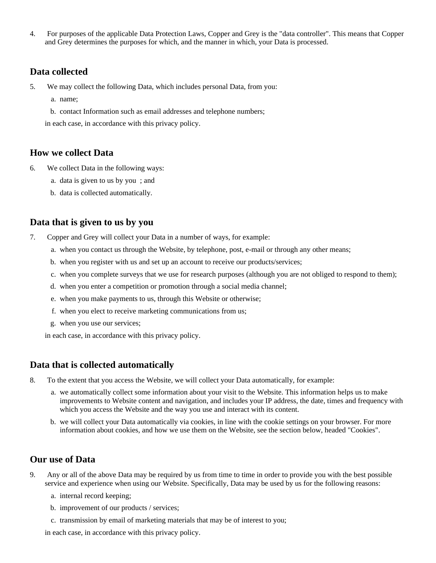4. For purposes of the applicable Data Protection Laws, Copper and Grey is the "data controller". This means that Copper and Grey determines the purposes for which, and the manner in which, your Data is processed.

### **Data collected**

- 5. We may collect the following Data, which includes personal Data, from you:
	- a. name;
	- b. contact Information such as email addresses and telephone numbers;

in each case, in accordance with this privacy policy.

#### **How we collect Data**

- 6. We collect Data in the following ways:
	- a. data is given to us by you ; and
	- b. data is collected automatically.

#### **Data that is given to us by you**

- 7. Copper and Grey will collect your Data in a number of ways, for example:
	- a. when you contact us through the Website, by telephone, post, e-mail or through any other means;
	- b. when you register with us and set up an account to receive our products/services;
	- c. when you complete surveys that we use for research purposes (although you are not obliged to respond to them);
	- d. when you enter a competition or promotion through a social media channel;
	- e. when you make payments to us, through this Website or otherwise;
	- f. when you elect to receive marketing communications from us;
	- g. when you use our services;

in each case, in accordance with this privacy policy.

## **Data that is collected automatically**

- 8. To the extent that you access the Website, we will collect your Data automatically, for example:
	- a. we automatically collect some information about your visit to the Website. This information helps us to make improvements to Website content and navigation, and includes your IP address, the date, times and frequency with which you access the Website and the way you use and interact with its content.
	- b. we will collect your Data automatically via cookies, in line with the cookie settings on your browser. For more information about cookies, and how we use them on the Website, see the section below, headed "Cookies".

#### **Our use of Data**

- 9. Any or all of the above Data may be required by us from time to time in order to provide you with the best possible service and experience when using our Website. Specifically, Data may be used by us for the following reasons:
	- a. internal record keeping;
	- b. improvement of our products / services;
	- c. transmission by email of marketing materials that may be of interest to you;

in each case, in accordance with this privacy policy.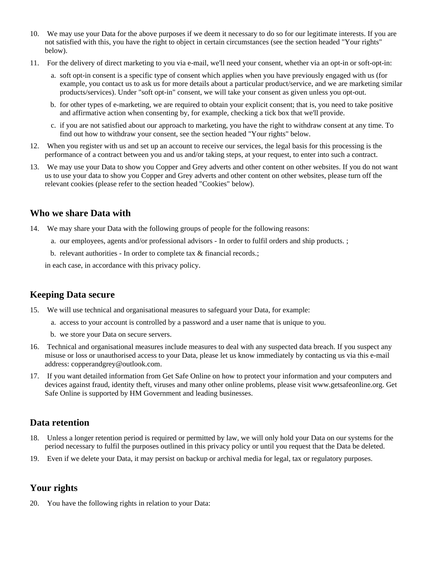- 10. We may use your Data for the above purposes if we deem it necessary to do so for our legitimate interests. If you are not satisfied with this, you have the right to object in certain circumstances (see the section headed "Your rights" below).
- 11. For the delivery of direct marketing to you via e-mail, we'll need your consent, whether via an opt-in or soft-opt-in:
	- a. soft opt-in consent is a specific type of consent which applies when you have previously engaged with us (for example, you contact us to ask us for more details about a particular product/service, and we are marketing similar products/services). Under "soft opt-in" consent, we will take your consent as given unless you opt-out.
	- b. for other types of e-marketing, we are required to obtain your explicit consent; that is, you need to take positive and affirmative action when consenting by, for example, checking a tick box that we'll provide.
	- c. if you are not satisfied about our approach to marketing, you have the right to withdraw consent at any time. To find out how to withdraw your consent, see the section headed "Your rights" below.
- 12. When you register with us and set up an account to receive our services, the legal basis for this processing is the performance of a contract between you and us and/or taking steps, at your request, to enter into such a contract.
- 13. We may use your Data to show you Copper and Grey adverts and other content on other websites. If you do not want us to use your data to show you Copper and Grey adverts and other content on other websites, please turn off the relevant cookies (please refer to the section headed "Cookies" below).

### **Who we share Data with**

- 14. We may share your Data with the following groups of people for the following reasons:
	- a. our employees, agents and/or professional advisors In order to fulfil orders and ship products. ;
	- b. relevant authorities In order to complete tax & financial records.;

in each case, in accordance with this privacy policy.

## **Keeping Data secure**

- 15. We will use technical and organisational measures to safeguard your Data, for example:
	- a. access to your account is controlled by a password and a user name that is unique to you.
	- b. we store your Data on secure servers.
- 16. Technical and organisational measures include measures to deal with any suspected data breach. If you suspect any misuse or loss or unauthorised access to your Data, please let us know immediately by contacting us via this e-mail address: copperandgrey@outlook.com.
- 17. If you want detailed information from Get Safe Online on how to protect your information and your computers and devices against fraud, identity theft, viruses and many other online problems, please visit www.getsafeonline.org. Get Safe Online is supported by HM Government and leading businesses.

#### **Data retention**

- 18. Unless a longer retention period is required or permitted by law, we will only hold your Data on our systems for the period necessary to fulfil the purposes outlined in this privacy policy or until you request that the Data be deleted.
- 19. Even if we delete your Data, it may persist on backup or archival media for legal, tax or regulatory purposes.

## **Your rights**

20. You have the following rights in relation to your Data: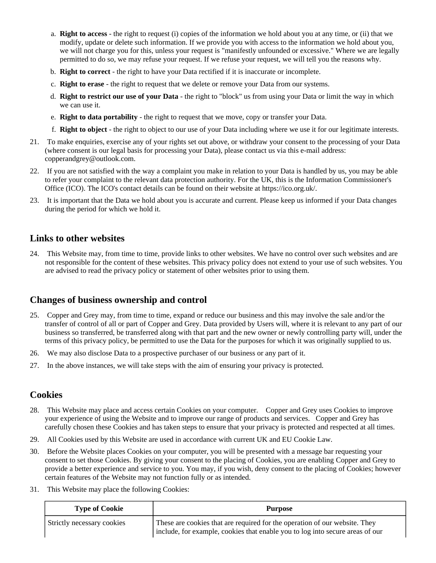- a. **Right to access** the right to request (i) copies of the information we hold about you at any time, or (ii) that we modify, update or delete such information. If we provide you with access to the information we hold about you, we will not charge you for this, unless your request is "manifestly unfounded or excessive." Where we are legally permitted to do so, we may refuse your request. If we refuse your request, we will tell you the reasons why.
- b. **Right to correct** the right to have your Data rectified if it is inaccurate or incomplete.
- c. **Right to erase** the right to request that we delete or remove your Data from our systems.
- d. **Right to restrict our use of your Data** the right to "block" us from using your Data or limit the way in which we can use it.
- e. **Right to data portability** the right to request that we move, copy or transfer your Data.
- f. **Right to object** the right to object to our use of your Data including where we use it for our legitimate interests.
- 21. To make enquiries, exercise any of your rights set out above, or withdraw your consent to the processing of your Data (where consent is our legal basis for processing your Data), please contact us via this e-mail address: copperandgrey@outlook.com.
- 22. If you are not satisfied with the way a complaint you make in relation to your Data is handled by us, you may be able to refer your complaint to the relevant data protection authority. For the UK, this is the Information Commissioner's Office (ICO). The ICO's contact details can be found on their website at https://ico.org.uk/.
- 23. It is important that the Data we hold about you is accurate and current. Please keep us informed if your Data changes during the period for which we hold it.

#### **Links to other websites**

24. This Website may, from time to time, provide links to other websites. We have no control over such websites and are not responsible for the content of these websites. This privacy policy does not extend to your use of such websites. You are advised to read the privacy policy or statement of other websites prior to using them.

## **Changes of business ownership and control**

- 25. Copper and Grey may, from time to time, expand or reduce our business and this may involve the sale and/or the transfer of control of all or part of Copper and Grey. Data provided by Users will, where it is relevant to any part of our business so transferred, be transferred along with that part and the new owner or newly controlling party will, under the terms of this privacy policy, be permitted to use the Data for the purposes for which it was originally supplied to us.
- 26. We may also disclose Data to a prospective purchaser of our business or any part of it.
- 27. In the above instances, we will take steps with the aim of ensuring your privacy is protected.

## **Cookies**

- 28. This Website may place and access certain Cookies on your computer. Copper and Grey uses Cookies to improve your experience of using the Website and to improve our range of products and services. Copper and Grey has carefully chosen these Cookies and has taken steps to ensure that your privacy is protected and respected at all times.
- 29. All Cookies used by this Website are used in accordance with current UK and EU Cookie Law.
- 30. Before the Website places Cookies on your computer, you will be presented with a message bar requesting your consent to set those Cookies. By giving your consent to the placing of Cookies, you are enabling Copper and Grey to provide a better experience and service to you. You may, if you wish, deny consent to the placing of Cookies; however certain features of the Website may not function fully or as intended.
- 31. This Website may place the following Cookies:

| <b>Type of Cookie</b>      | Purpose                                                                                                                                                     |
|----------------------------|-------------------------------------------------------------------------------------------------------------------------------------------------------------|
| Strictly necessary cookies | These are cookies that are required for the operation of our website. They<br>include, for example, cookies that enable you to log into secure areas of our |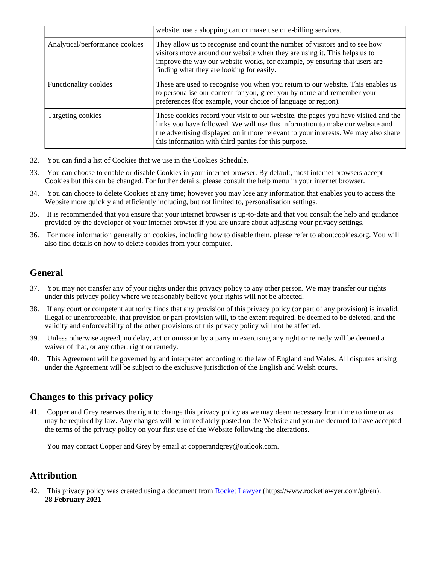|                                | website, use a shopping cart or make use of e-billing services.                                                                                                                                                                                                                                                    |
|--------------------------------|--------------------------------------------------------------------------------------------------------------------------------------------------------------------------------------------------------------------------------------------------------------------------------------------------------------------|
| Analytical/performance cookies | They allow us to recognise and count the number of visitors and to see how<br>visitors move around our website when they are using it. This helps us to<br>improve the way our website works, for example, by ensuring that users are<br>finding what they are looking for easily.                                 |
| <b>Functionality cookies</b>   | These are used to recognise you when you return to our website. This enables us<br>to personalise our content for you, greet you by name and remember your<br>preferences (for example, your choice of language or region).                                                                                        |
| Targeting cookies              | These cookies record your visit to our website, the pages you have visited and the<br>links you have followed. We will use this information to make our website and<br>the advertising displayed on it more relevant to your interests. We may also share<br>this information with third parties for this purpose. |

- 32. You can find a list of Cookies that we use in the Cookies Schedule.
- 33. You can choose to enable or disable Cookies in your internet browser. By default, most internet browsers accept Cookies but this can be changed. For further details, please consult the help menu in your internet browser.
- 34. You can choose to delete Cookies at any time; however you may lose any information that enables you to access the Website more quickly and efficiently including, but not limited to, personalisation settings.
- 35. It is recommended that you ensure that your internet browser is up-to-date and that you consult the help and guidance provided by the developer of your internet browser if you are unsure about adjusting your privacy settings.
- 36. For more information generally on cookies, including how to disable them, please refer to aboutcookies.org. You will also find details on how to delete cookies from your computer.

## **General**

- 37. You may not transfer any of your rights under this privacy policy to any other person. We may transfer our rights under this privacy policy where we reasonably believe your rights will not be affected.
- 38. If any court or competent authority finds that any provision of this privacy policy (or part of any provision) is invalid, illegal or unenforceable, that provision or part-provision will, to the extent required, be deemed to be deleted, and the validity and enforceability of the other provisions of this privacy policy will not be affected.
- 39. Unless otherwise agreed, no delay, act or omission by a party in exercising any right or remedy will be deemed a waiver of that, or any other, right or remedy.
- 40. This Agreement will be governed by and interpreted according to the law of England and Wales. All disputes arising under the Agreement will be subject to the exclusive jurisdiction of the English and Welsh courts.

## **Changes to this privacy policy**

41. Copper and Grey reserves the right to change this privacy policy as we may deem necessary from time to time or as may be required by law. Any changes will be immediately posted on the Website and you are deemed to have accepted the terms of the privacy policy on your first use of the Website following the alterations.

You may contact Copper and Grey by email at copperandgrey@outlook.com.

## **Attribution**

42. This privacy policy was created using a document from [Rocket Lawyer](https://www.rocketlawyer.com/gb/en/) (https://www.rocketlawyer.com/gb/en). **28 February 2021**